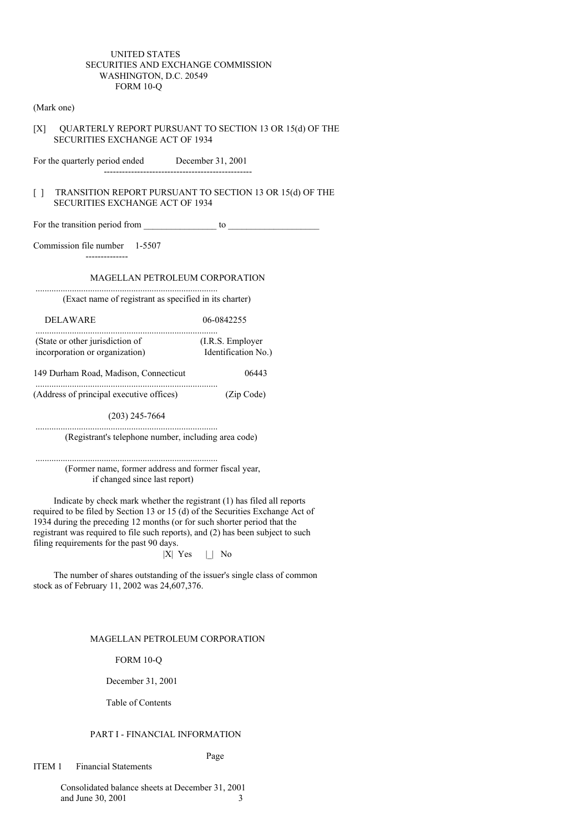### UNITED STATES SECURITIES AND EXCHANGE COMMISSION WASHINGTON, D.C. 20549 FORM 10-Q

#### (Mark one)

[X] QUARTERLY REPORT PURSUANT TO SECTION 13 OR 15(d) OF THE SECURITIES EXCHANGE ACT OF 1934

For the quarterly period ended December 31, 2001

### [ ] TRANSITION REPORT PURSUANT TO SECTION 13 OR 15(d) OF THE SECURITIES EXCHANGE ACT OF 1934

For the transition period from \_\_\_\_\_\_\_\_\_\_\_\_\_\_\_\_ to \_\_\_\_\_\_\_\_\_\_\_\_\_\_\_\_\_\_\_\_

-------------------------------------------------

Commission file number 1-5507

--------------

MAGELLAN PETROLEUM CORPORATION

(Exact name of registrant as specified in its charter)

DELAWARE 06-0842255

................................................................................

................................................................................ (State or other jurisdiction of (I.R.S. Employer<br>  $\frac{1}{2}$  Identification N incorporation or organization) Identification No.)

149 Durham Road, Madison, Connecticut 06443

(Address of principal executive offices) (Zip Code)

(203) 245-7664

................................................................................

................................................................................

(Registrant's telephone number, including area code)

................................................................................ (Former name, former address and former fiscal year, if changed since last report)

Indicate by check mark whether the registrant (1) has filed all reports required to be filed by Section 13 or 15 (d) of the Securities Exchange Act of 1934 during the preceding 12 months (or for such shorter period that the registrant was required to file such reports), and (2) has been subject to such filing requirements for the past 90 days.

 $|X|$  Yes  $| \_|$  No

The number of shares outstanding of the issuer's single class of common stock as of February 11, 2002 was 24,607,376.

### MAGELLAN PETROLEUM CORPORATION

FORM 10-Q

December 31, 2001

Table of Contents

### PART I - FINANCIAL INFORMATION

Page

ITEM 1 Financial Statements

Consolidated balance sheets at December 31, 2001 and June 30, 2001 3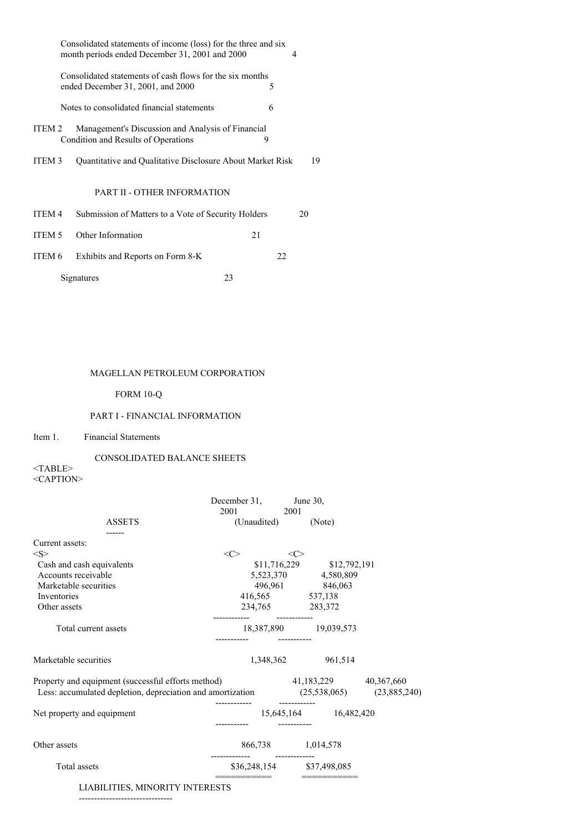|        | Consolidated statements of income (loss) for the three and six<br>month periods ended December 31, 2001 and 2000<br>4 |    |    |  |  |  |  |  |  |
|--------|-----------------------------------------------------------------------------------------------------------------------|----|----|--|--|--|--|--|--|
|        | Consolidated statements of cash flows for the six months<br>ended December 31, 2001, and 2000                         | 5  |    |  |  |  |  |  |  |
|        | Notes to consolidated financial statements                                                                            | 6  |    |  |  |  |  |  |  |
| ITEM 2 | Management's Discussion and Analysis of Financial<br>Condition and Results of Operations                              | 9  |    |  |  |  |  |  |  |
| ITEM 3 | Quantitative and Qualitative Disclosure About Market Risk                                                             |    | 19 |  |  |  |  |  |  |
|        | <b>PART II - OTHER INFORMATION</b>                                                                                    |    |    |  |  |  |  |  |  |
| ITEM 4 | Submission of Matters to a Vote of Security Holders                                                                   |    | 20 |  |  |  |  |  |  |
| ITEM 5 | Other Information                                                                                                     | 21 |    |  |  |  |  |  |  |
| ITEM 6 | Exhibits and Reports on Form 8-K                                                                                      | 22 |    |  |  |  |  |  |  |
|        | Signatures                                                                                                            | 23 |    |  |  |  |  |  |  |

# MAGELLAN PETROLEUM CORPORATION

# FORM 10-Q

# PART I - FINANCIAL INFORMATION

# Item 1. Financial Statements

# CONSOLIDATED BALANCE SHEETS

 $<$ TABLE $>$ <CAPTION>

|                                                                                      | December 31, June 30,<br>2001 2001 |     |                             |  |
|--------------------------------------------------------------------------------------|------------------------------------|-----|-----------------------------|--|
| <b>ASSETS</b>                                                                        | (Unaudited)                        |     | (Note)                      |  |
|                                                                                      |                                    |     |                             |  |
| Current assets:                                                                      |                                    |     |                             |  |
| < S >                                                                                | <<>                                | <<> |                             |  |
| Cash and cash equivalents                                                            |                                    |     | $$11,716,229$ $$12,792,191$ |  |
| Accounts receivable                                                                  |                                    |     | 5,523,370 4,580,809         |  |
| Marketable securities                                                                |                                    |     | 496,961 846,063             |  |
| Inventories                                                                          | 416,565 537,138                    |     |                             |  |
| Other assets                                                                         | 234,765 283,372                    |     |                             |  |
| Total current assets                                                                 |                                    |     | 18,387,890 19,039,573       |  |
| Marketable securities                                                                |                                    |     | 1,348,362 961,514           |  |
| Property and equipment (successful efforts method)                                   | 41,183,229 40,367,660              |     |                             |  |
| Less: accumulated depletion, depreciation and amortization (25,538,065) (23,885,240) |                                    |     |                             |  |
| Net property and equipment                                                           |                                    |     | 15,645,164 16,482,420       |  |
| Other assets                                                                         | 866,738 1,014,578                  |     |                             |  |
| Total assets                                                                         | \$36,248,154 \$37,498,085          |     |                             |  |
| LIABILITIES, MINORITY INTERESTS                                                      | ===========                        |     |                             |  |

-------------------------------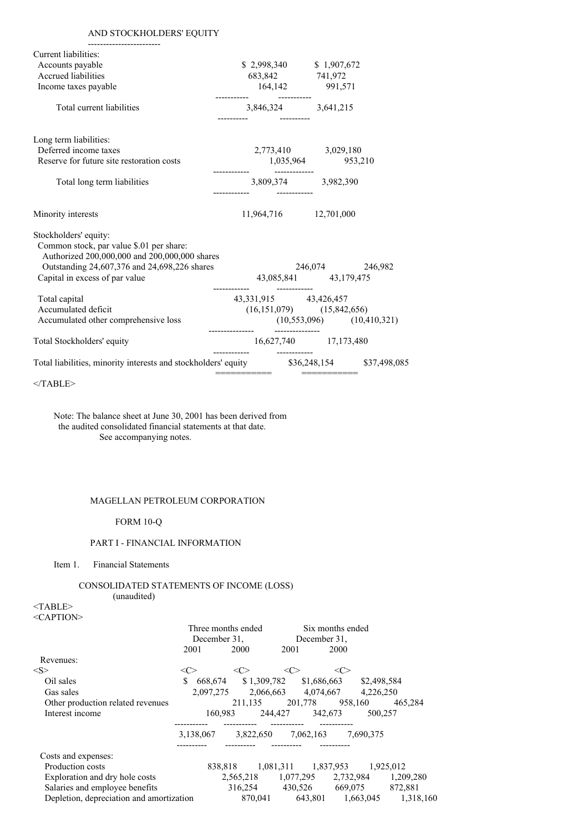# AND STOCKHOLDERS' EQUITY

| Current liabilities:                                                                       |                                                                                                           |                 |  |
|--------------------------------------------------------------------------------------------|-----------------------------------------------------------------------------------------------------------|-----------------|--|
| Accounts payable                                                                           |                                                                                                           |                 |  |
| Accrued liabilities                                                                        | $\begin{array}{cc} $2,998,340 \ 683,842 \end{array}$ $\begin{array}{cc} $1,907,672 \ 741,972 \end{array}$ |                 |  |
| Income taxes payable                                                                       | 164,142 991,571                                                                                           |                 |  |
| Total current liabilities                                                                  | 3,846,324 3,641,215                                                                                       |                 |  |
| Long term liabilities:                                                                     |                                                                                                           |                 |  |
| Deferred income taxes<br>Reserve for future site restoration costs                         | 2,773,410 3,029,180<br>1,035,964 953,210                                                                  |                 |  |
| Total long term liabilities                                                                | 3,809,374 3,982,390                                                                                       |                 |  |
| Minority interests                                                                         | 11,964,716 12,701,000                                                                                     |                 |  |
| Stockholders' equity:                                                                      |                                                                                                           |                 |  |
| Common stock, par value \$.01 per share:<br>Authorized 200,000,000 and 200,000,000 shares  |                                                                                                           |                 |  |
| Outstanding 24,607,376 and 24,698,226 shares                                               |                                                                                                           | 246,074 246,982 |  |
| Capital in excess of par value                                                             | 43,085,841 43,179,475                                                                                     |                 |  |
| Total capital                                                                              | 43, 331, 915 43, 426, 457                                                                                 |                 |  |
| Accumulated deficit                                                                        | $(16,151,079)$ $(15,842,656)$                                                                             |                 |  |
| Accumulated other comprehensive loss                                                       | $(10,553,096)$ $(10,410,321)$                                                                             |                 |  |
| Total Stockholders' equity                                                                 | 16,627,740 17,173,480                                                                                     |                 |  |
| Total liabilities, minority interests and stockholders' equity $$36,248,154$ $$37,498,085$ | ===========                                                                                               | ===========     |  |
|                                                                                            |                                                                                                           |                 |  |

 $<$ /TABLE>

Note: The balance sheet at June 30, 2001 has been derived from the audited consolidated financial statements at that date. See accompanying notes.

## MAGELLAN PETROLEUM CORPORATION

FORM 10-Q

## PART I - FINANCIAL INFORMATION

Item 1. Financial Statements

### CONSOLIDATED STATEMENTS OF INCOME (LOSS) (unaudited)

<TABLE> <CAPTION>

|                                          | Three months ended<br>December 31, |                                             |           |         | Six months ended<br>December 31. |           |           |
|------------------------------------------|------------------------------------|---------------------------------------------|-----------|---------|----------------------------------|-----------|-----------|
|                                          | 2001                               | 2000                                        |           | 2001    | 2000                             |           |           |
| Revenues:                                |                                    |                                             |           |         |                                  |           |           |
| $<\leq>$                                 | $<\infty$                          | <<>                                         |           | <<>     | <c></c>                          |           |           |
| Oil sales                                | \$                                 | 668,674 \$1,309,782 \$1,686,663 \$2,498,584 |           |         |                                  |           |           |
| Gas sales                                |                                    | 2.097.275                                   |           |         | 2,066,663 4,074,667              | 4,226,250 |           |
| Other production related revenues        |                                    | 211.135                                     |           | 201.778 | 958.160                          |           | 465,284   |
| Interest income                          |                                    | 160,983                                     |           |         | 244,427 342,673                  | 500,257   |           |
|                                          | 3,138,067                          |                                             | 3,822,650 |         | 7,062,163                        | 7.690.375 |           |
| Costs and expenses:                      |                                    |                                             |           |         |                                  |           |           |
| Production costs                         |                                    | 838,818 1,081,311 1,837,953 1,925,012       |           |         |                                  |           |           |
| Exploration and dry hole costs           |                                    |                                             |           |         | 2,565,218 1,077,295 2,732,984    |           | 1,209,280 |
| Salaries and employee benefits           |                                    |                                             | 316.254   |         | 430,526 669,075                  |           | 872,881   |
| Depletion, depreciation and amortization |                                    |                                             | 870,041   |         | 643,801 1,663,045                |           | 1,318,160 |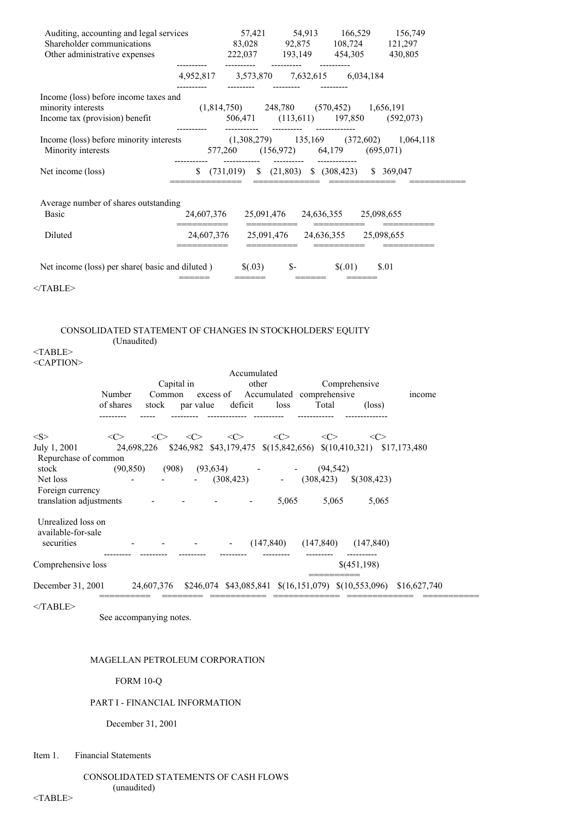| Auditing, accounting and legal services<br>Shareholder communications<br>Other administrative expenses |                          |                                                                                    |      | 57,421 54,913 166,529 156,749<br>83,028 92,875 108,724 121,297<br>222,037 193,149 454,305 430,805 |       |
|--------------------------------------------------------------------------------------------------------|--------------------------|------------------------------------------------------------------------------------|------|---------------------------------------------------------------------------------------------------|-------|
|                                                                                                        |                          | 4,952,817 3,573,870 7,632,615 6,034,184                                            |      |                                                                                                   |       |
| Income (loss) before income taxes and<br>minority interests<br>Income tax (provision) benefit          |                          | $(1,814,750)$ 248,780 $(570,452)$ 1,656,191<br>506,471 (113,611) 197,850 (592,073) |      |                                                                                                   |       |
| Income (loss) before minority interests (1,308,279) 135,169 (372,602) 1,064,118<br>Minority interests  |                          | 577,260 (156,972) 64,179 (695,071)<br>------------  ---------  ------------        |      |                                                                                                   |       |
| Net income (loss)                                                                                      |                          | $$$ (731,019) $$$ (21,803) $$$ (308,423) $$$ 369,047                               |      |                                                                                                   |       |
| Average number of shares outstanding<br>Basic                                                          |                          | 24,607,376 25,091,476 24,636,355 25,098,655                                        |      |                                                                                                   |       |
| Diluted                                                                                                | ==========<br>24,607,376 |                                                                                    |      | 25,091,476 24,636,355 25,098,655                                                                  |       |
| Net income (loss) per share( basic and diluted $\sim$ \$(.03)<br>$<$ TABLE>                            |                          |                                                                                    | $S-$ | \$(.01)                                                                                           | \$.01 |

### CONSOLIDATED STATEMENT OF CHANGES IN STOCKHOLDERS' EQUITY (Unaudited)

<TABLE> <CAPTION>

|                                                        | Number    | Capital in<br>Common |           | Accumulated<br>other |                          | excess of Accumulated comprehensive                               | Comprehensive   | income       |
|--------------------------------------------------------|-----------|----------------------|-----------|----------------------|--------------------------|-------------------------------------------------------------------|-----------------|--------------|
|                                                        | of shares | stock                | par value | deficit              | loss                     | Total                                                             | $(\text{loss})$ |              |
| <s></s>                                                | <<>       |                      | <<>       | $\langle C \rangle$  | $\langle C \rangle$      | $<\infty$                                                         | <<>             |              |
| July 1, 2001<br>Repurchase of common                   |           | 24,698,226           |           |                      |                          | \$246,982 \$43,179,475 \$(15,842,656) \$(10,410,321) \$17,173,480 |                 |              |
| stock                                                  | (90, 850) | (908)                | (93, 634) |                      |                          | (94, 542)                                                         |                 |              |
| Net loss                                               |           |                      |           | (308, 423)           | $\overline{\phantom{a}}$ | (308, 423)                                                        | $$$ (308,423)   |              |
| Foreign currency<br>translation adjustments            |           |                      |           |                      | 5,065                    | 5,065                                                             | 5,065           |              |
| Unrealized loss on<br>available-for-sale<br>securities |           |                      |           |                      | (147, 840)               | (147, 840)                                                        | (147, 840)      |              |
| Comprehensive loss                                     |           |                      |           |                      |                          |                                                                   | \$(451,198)     |              |
| December 31, 2001                                      |           | 24,607,376           |           |                      |                          | $$246,074$ $$43,085,841$ $$(16,151,079)$ $$(10,553,096)$          |                 | \$16,627,740 |

 $<$ /TABLE>

See accompanying notes.

# MAGELLAN PETROLEUM CORPORATION

FORM 10-Q

## PART I - FINANCIAL INFORMATION

December 31, 2001

# Item 1. Financial Statements

### CONSOLIDATED STATEMENTS OF CASH FLOWS (unaudited)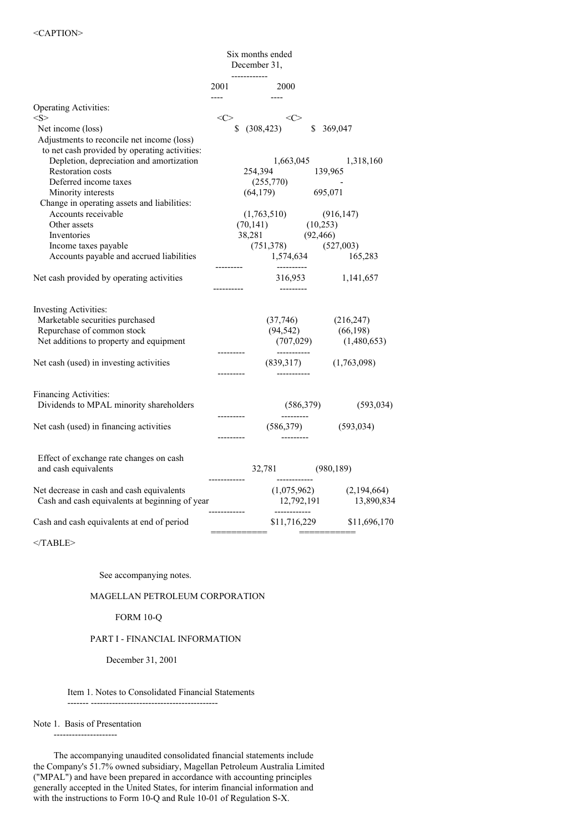| 2001<br><b>Operating Activities:</b><br>< S ><br>Net income (loss)<br>Adjustments to reconcile net income (loss)<br>to net cash provided by operating activities:<br>Depletion, depreciation and amortization<br><b>Restoration costs</b> | ------------<br>2000<br>المنفر المنادي المنفر<br>$\langle C \rangle$<br>$$^{(308,423)}$$<br>254,394 139,965<br>$(255,770)$<br>$(64,179)$ $695,071$ | $\langle C \rangle$                   | \$ 369,047<br>1,663,045 1,318,160                                                         |
|-------------------------------------------------------------------------------------------------------------------------------------------------------------------------------------------------------------------------------------------|----------------------------------------------------------------------------------------------------------------------------------------------------|---------------------------------------|-------------------------------------------------------------------------------------------|
|                                                                                                                                                                                                                                           |                                                                                                                                                    |                                       |                                                                                           |
|                                                                                                                                                                                                                                           |                                                                                                                                                    |                                       |                                                                                           |
|                                                                                                                                                                                                                                           |                                                                                                                                                    |                                       |                                                                                           |
|                                                                                                                                                                                                                                           |                                                                                                                                                    |                                       |                                                                                           |
|                                                                                                                                                                                                                                           |                                                                                                                                                    |                                       |                                                                                           |
|                                                                                                                                                                                                                                           |                                                                                                                                                    |                                       |                                                                                           |
|                                                                                                                                                                                                                                           |                                                                                                                                                    |                                       |                                                                                           |
| Deferred income taxes                                                                                                                                                                                                                     |                                                                                                                                                    |                                       |                                                                                           |
| Minority interests                                                                                                                                                                                                                        |                                                                                                                                                    |                                       |                                                                                           |
| Change in operating assets and liabilities:                                                                                                                                                                                               |                                                                                                                                                    |                                       |                                                                                           |
| Accounts receivable<br>Other assets                                                                                                                                                                                                       |                                                                                                                                                    |                                       |                                                                                           |
| Inventories                                                                                                                                                                                                                               |                                                                                                                                                    |                                       |                                                                                           |
| Income taxes payable                                                                                                                                                                                                                      |                                                                                                                                                    |                                       |                                                                                           |
| Accounts payable and accrued liabilities                                                                                                                                                                                                  | $\begin{array}{cccc} (1,763,510) & (916,147) \\ (70,141) & (10,253) \\ 38,281 & (92,466) \\ (751,378) & (527,003) \\ 1,574,634 & 165, \end{array}$ |                                       | 165,283                                                                                   |
|                                                                                                                                                                                                                                           |                                                                                                                                                    | ----------                            |                                                                                           |
| Net cash provided by operating activities                                                                                                                                                                                                 |                                                                                                                                                    |                                       | 316,953 1,141,657                                                                         |
| Investing Activities:<br>Marketable securities purchased<br>Repurchase of common stock<br>Net additions to property and equipment                                                                                                         |                                                                                                                                                    |                                       | $(37,746)$ $(216,247)$<br>$(94,542)$ $(66,198)$<br>$(707,029)$ $(1,480,6)$<br>(1,480,653) |
| Net cash (used) in investing activities                                                                                                                                                                                                   |                                                                                                                                                    | -----------<br>------------           | $(839,317)$ $(1,763,098)$                                                                 |
| Financing Activities:<br>Dividends to MPAL minority shareholders<br>Net cash (used) in financing activities                                                                                                                               |                                                                                                                                                    | (586, 379)<br>(586,379)<br>---------- | (593, 034)<br>(593, 034)                                                                  |
| Effect of exchange rate changes on cash<br>and cash equivalents                                                                                                                                                                           | 32,781 (980,189)<br>------------                                                                                                                   | -------------                         |                                                                                           |
| Net decrease in cash and cash equivalents<br>Cash and cash equivalents at beginning of year                                                                                                                                               |                                                                                                                                                    |                                       | $(1,075,962)$ $(2,194,664)$<br>12,792,191 13,890,834                                      |
| Cash and cash equivalents at end of period                                                                                                                                                                                                | ============                                                                                                                                       | ------------                          | \$11,716,229 \$11,696,170<br>===========                                                  |

 $<$ /TABLE>

See accompanying notes.

## MAGELLAN PETROLEUM CORPORATION

#### FORM 10-Q

## PART I - FINANCIAL INFORMATION

December 31, 2001

Item 1. Notes to Consolidated Financial Statements

------- ------------------------------------------

#### Note 1. Basis of Presentation ---------------------

The accompanying unaudited consolidated financial statements include the Company's 51.7% owned subsidiary, Magellan Petroleum Australia Limited ("MPAL") and have been prepared in accordance with accounting principles generally accepted in the United States, for interim financial information and with the instructions to Form 10-Q and Rule 10-01 of Regulation S-X.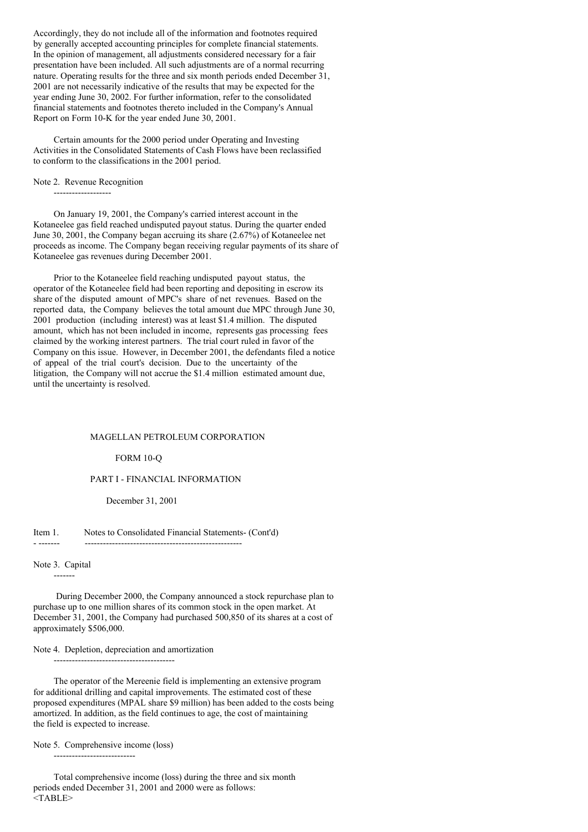Accordingly, they do not include all of the information and footnotes required by generally accepted accounting principles for complete financial statements. In the opinion of management, all adjustments considered necessary for a fair presentation have been included. All such adjustments are of a normal recurring nature. Operating results for the three and six month periods ended December 31, 2001 are not necessarily indicative of the results that may be expected for the year ending June 30, 2002. For further information, refer to the consolidated financial statements and footnotes thereto included in the Company's Annual Report on Form 10-K for the year ended June 30, 2001.

Certain amounts for the 2000 period under Operating and Investing Activities in the Consolidated Statements of Cash Flows have been reclassified to conform to the classifications in the 2001 period.

Note 2. Revenue Recognition -------------------

On January 19, 2001, the Company's carried interest account in the Kotaneelee gas field reached undisputed payout status. During the quarter ended June 30, 2001, the Company began accruing its share (2.67%) of Kotaneelee net proceeds as income. The Company began receiving regular payments of its share of Kotaneelee gas revenues during December 2001.

Prior to the Kotaneelee field reaching undisputed payout status, the operator of the Kotaneelee field had been reporting and depositing in escrow its share of the disputed amount of MPC's share of net revenues. Based on the reported data, the Company believes the total amount due MPC through June 30, 2001 production (including interest) was at least \$1.4 million. The disputed amount, which has not been included in income, represents gas processing fees claimed by the working interest partners. The trial court ruled in favor of the Company on this issue. However, in December 2001, the defendants filed a notice of appeal of the trial court's decision. Due to the uncertainty of the litigation, the Company will not accrue the \$1.4 million estimated amount due, until the uncertainty is resolved.

#### MAGELLAN PETROLEUM CORPORATION

### FORM 10-Q

### PART I - FINANCIAL INFORMATION

December 31, 2001

#### Item 1. Notes to Consolidated Financial Statements- (Cont'd) - ------- ----------------------------------------------------

Note 3. Capital

-------

During December 2000, the Company announced a stock repurchase plan to purchase up to one million shares of its common stock in the open market. At December 31, 2001, the Company had purchased 500,850 of its shares at a cost of approximately \$506,000.

Note 4. Depletion, depreciation and amortization

----------------------------------------

The operator of the Mereenie field is implementing an extensive program for additional drilling and capital improvements. The estimated cost of these proposed expenditures (MPAL share \$9 million) has been added to the costs being amortized. In addition, as the field continues to age, the cost of maintaining the field is expected to increase.

Note 5. Comprehensive income (loss)

---------------------------

Total comprehensive income (loss) during the three and six month periods ended December 31, 2001 and 2000 were as follows: <TABLE>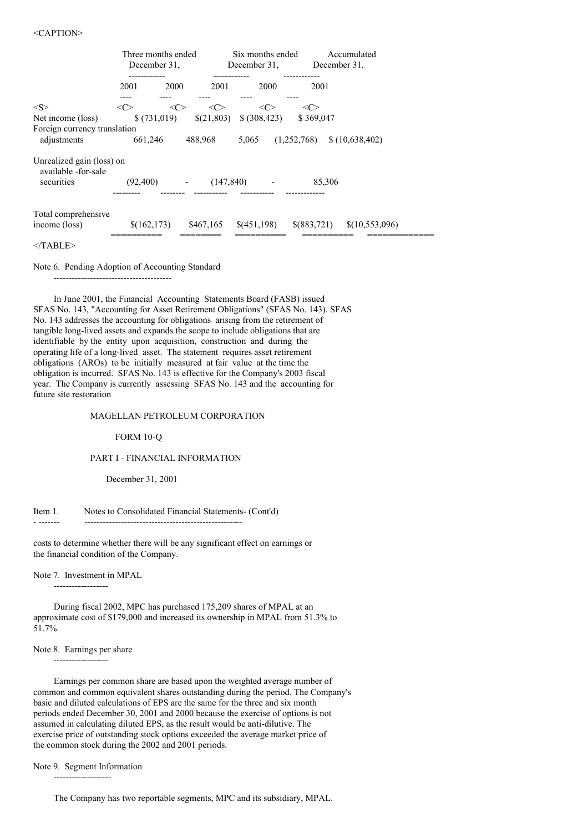|                                                   | Three months ended<br>December 31. |                          | Six months ended<br>December 31. | Accumulated<br>December 31.   |
|---------------------------------------------------|------------------------------------|--------------------------|----------------------------------|-------------------------------|
|                                                   | . - - - - - - - - - - .<br>2001    | 2001<br>2000             | 2000                             | --------<br>2001              |
| < S >                                             | <<>                                | <c><br/>&lt;&lt;&gt;</c> | $<\!\!C\!\!>$                    | $<\!\!C\!\!>$                 |
| Net income (loss)<br>Foreign currency translation | \$(731,019)                        |                          | $\{(21,803) \quad \{(308,423)\}$ | \$369,047                     |
| adjustments                                       | 661,246                            | 488,968                  | 5,065                            | (1,252,768)<br>\$(10,638,402) |
| Unrealized gain (loss) on<br>available -for-sale  |                                    |                          |                                  |                               |
| securities                                        | (92,400)                           | $\overline{\phantom{a}}$ | (147, 840)                       | 85,306                        |
| Total comprehensive                               |                                    |                          |                                  |                               |
| income (loss)                                     | \$(162, 173)                       | \$467,165                | \$(451,198)                      | \$(883,721)<br>\$(10,553,096) |
|                                                   |                                    |                          |                                  |                               |

 $<$ /TABLE>

Note 6. Pending Adoption of Accounting Standard

---------------------------------------

In June 2001, the Financial Accounting Statements Board (FASB) issued SFAS No. 143, "Accounting for Asset Retirement Obligations" (SFAS No. 143). SFAS No. 143 addresses the accounting for obligations arising from the retirement of tangible long-lived assets and expands the scope to include obligations that are identifiable by the entity upon acquisition, construction and during the operating life of a long-lived asset. The statement requires asset retirement obligations (AROs) to be initially measured at fair value at the time the obligation is incurred. SFAS No. 143 is effective for the Company's 2003 fiscal year. The Company is currently assessing SFAS No. 143 and the accounting for future site restoration

### MAGELLAN PETROLEUM CORPORATION

FORM 10-Q

### PART I - FINANCIAL INFORMATION

December 31, 2001

Item 1. Notes to Consolidated Financial Statements- (Cont'd)

- ------- ----------------------------------------------------

costs to determine whether there will be any significant effect on earnings or the financial condition of the Company.

Note 7. Investment in MPAL ------------------

During fiscal 2002, MPC has purchased 175,209 shares of MPAL at an approximate cost of \$179,000 and increased its ownership in MPAL from 51.3% to 51.7%.

#### Note 8. Earnings per share

------------------

Earnings per common share are based upon the weighted average number of common and common equivalent shares outstanding during the period. The Company's basic and diluted calculations of EPS are the same for the three and six month periods ended December 30, 2001 and 2000 because the exercise of options is not assumed in calculating diluted EPS, as the result would be anti-dilutive. The exercise price of outstanding stock options exceeded the average market price of the common stock during the 2002 and 2001 periods.

Note 9. Segment Information -------------------

The Company has two reportable segments, MPC and its subsidiary, MPAL.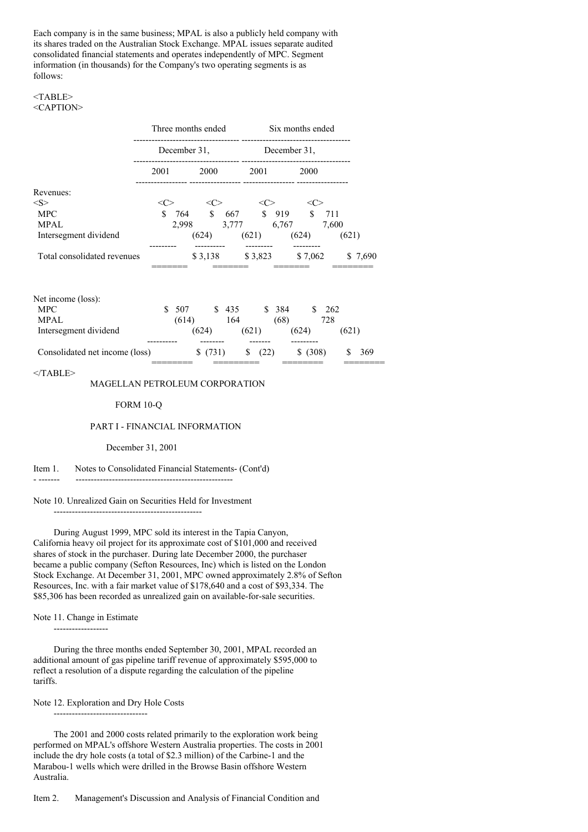Each company is in the same business; MPAL is also a publicly held company with its shares traded on the Australian Stock Exchange. MPAL issues separate audited consolidated financial statements and operates independently of MPC. Segment information (in thousands) for the Company's two operating segments is as follows:

#### <TABLE> <CAPTION>

|                             | Three months ended |       |         | Six months ended |              |               |         |         |  |
|-----------------------------|--------------------|-------|---------|------------------|--------------|---------------|---------|---------|--|
|                             | December 31,       |       |         |                  | December 31, |               |         |         |  |
|                             | 2001               |       | 2000    |                  | 2001         |               | 2000    |         |  |
| Revenues:                   |                    |       |         |                  |              |               |         |         |  |
| $<\!\!S\!\!>$               | <( '>              |       |         |                  | $\ll$        |               | <( '>   |         |  |
| <b>MPC</b>                  | S.                 | 764   |         |                  |              | \$ 667 \$ 919 | S.      | 711     |  |
| <b>MPAL</b>                 |                    | 2.998 |         | 3,777            |              | 6,767         |         | 7.600   |  |
| Intersegment dividend       |                    |       | (624)   |                  | (621)        |               | (624)   | (621)   |  |
| Total consolidated revenues |                    |       | \$3,138 |                  | \$3,823      |               | \$7,062 | \$7,690 |  |

| Net income (loss):             |       |         |       |       |      |        |          |       |     |
|--------------------------------|-------|---------|-------|-------|------|--------|----------|-------|-----|
| MPC.                           | 507   |         | \$435 |       |      | \$ 384 |          | 262   |     |
| <b>MPAL</b>                    | (614) |         | 164   |       |      | (68)   |          | 728   |     |
| Intersegment dividend          | (624) |         |       | (621) |      | (624)  |          | (621) |     |
|                                |       |         |       |       |      |        |          |       |     |
| Consolidated net income (loss) |       | \$(731) |       | S     | (22) |        | \$ (308) |       | 369 |
|                                |       |         |       |       |      |        |          |       |     |

 $<$ /TABLE>

## MAGELLAN PETROLEUM CORPORATION

#### FORM 10-Q

#### PART I - FINANCIAL INFORMATION

#### December 31, 2001

### Item 1. Notes to Consolidated Financial Statements- (Cont'd)

#### Note 10. Unrealized Gain on Securities Held for Investment

- ------- ----------------------------------------------------

-------------------------------------------------

During August 1999, MPC sold its interest in the Tapia Canyon, California heavy oil project for its approximate cost of \$101,000 and received shares of stock in the purchaser. During late December 2000, the purchaser became a public company (Sefton Resources, Inc) which is listed on the London Stock Exchange. At December 31, 2001, MPC owned approximately 2.8% of Sefton Resources, Inc. with a fair market value of \$178,640 and a cost of \$93,334. The \$85,306 has been recorded as unrealized gain on available-for-sale securities.

#### Note 11. Change in Estimate

------------------

During the three months ended September 30, 2001, MPAL recorded an additional amount of gas pipeline tariff revenue of approximately \$595,000 to reflect a resolution of a dispute regarding the calculation of the pipeline tariffs.

Note 12. Exploration and Dry Hole Costs

-------------------------------

The 2001 and 2000 costs related primarily to the exploration work being performed on MPAL's offshore Western Australia properties. The costs in 2001 include the dry hole costs (a total of \$2.3 million) of the Carbine-1 and the Marabou-1 wells which were drilled in the Browse Basin offshore Western Australia.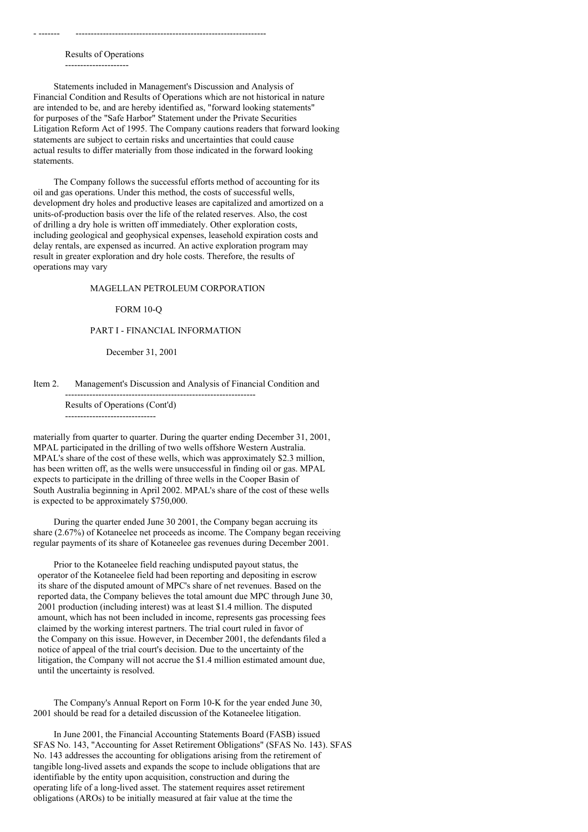Results of Operations ---------------------

- ------- ---------------------------------------------------------------

Statements included in Management's Discussion and Analysis of Financial Condition and Results of Operations which are not historical in nature are intended to be, and are hereby identified as, "forward looking statements" for purposes of the "Safe Harbor" Statement under the Private Securities Litigation Reform Act of 1995. The Company cautions readers that forward looking statements are subject to certain risks and uncertainties that could cause actual results to differ materially from those indicated in the forward looking statements.

The Company follows the successful efforts method of accounting for its oil and gas operations. Under this method, the costs of successful wells, development dry holes and productive leases are capitalized and amortized on a units-of-production basis over the life of the related reserves. Also, the cost of drilling a dry hole is written off immediately. Other exploration costs, including geological and geophysical expenses, leasehold expiration costs and delay rentals, are expensed as incurred. An active exploration program may result in greater exploration and dry hole costs. Therefore, the results of operations may vary

#### MAGELLAN PETROLEUM CORPORATION

### FORM 10-Q

### PART I - FINANCIAL INFORMATION

#### December 31, 2001

### Item 2. Management's Discussion and Analysis of Financial Condition and

---------------------------------------------------------------

Results of Operations (Cont'd) ------------------------------

materially from quarter to quarter. During the quarter ending December 31, 2001, MPAL participated in the drilling of two wells offshore Western Australia. MPAL's share of the cost of these wells, which was approximately \$2.3 million, has been written off, as the wells were unsuccessful in finding oil or gas. MPAL expects to participate in the drilling of three wells in the Cooper Basin of South Australia beginning in April 2002. MPAL's share of the cost of these wells is expected to be approximately \$750,000.

During the quarter ended June 30 2001, the Company began accruing its share (2.67%) of Kotaneelee net proceeds as income. The Company began receiving regular payments of its share of Kotaneelee gas revenues during December 2001.

Prior to the Kotaneelee field reaching undisputed payout status, the operator of the Kotaneelee field had been reporting and depositing in escrow its share of the disputed amount of MPC's share of net revenues. Based on the reported data, the Company believes the total amount due MPC through June 30, 2001 production (including interest) was at least \$1.4 million. The disputed amount, which has not been included in income, represents gas processing fees claimed by the working interest partners. The trial court ruled in favor of the Company on this issue. However, in December 2001, the defendants filed a notice of appeal of the trial court's decision. Due to the uncertainty of the litigation, the Company will not accrue the \$1.4 million estimated amount due, until the uncertainty is resolved.

The Company's Annual Report on Form 10-K for the year ended June 30, 2001 should be read for a detailed discussion of the Kotaneelee litigation.

In June 2001, the Financial Accounting Statements Board (FASB) issued SFAS No. 143, "Accounting for Asset Retirement Obligations" (SFAS No. 143). SFAS No. 143 addresses the accounting for obligations arising from the retirement of tangible long-lived assets and expands the scope to include obligations that are identifiable by the entity upon acquisition, construction and during the operating life of a long-lived asset. The statement requires asset retirement obligations (AROs) to be initially measured at fair value at the time the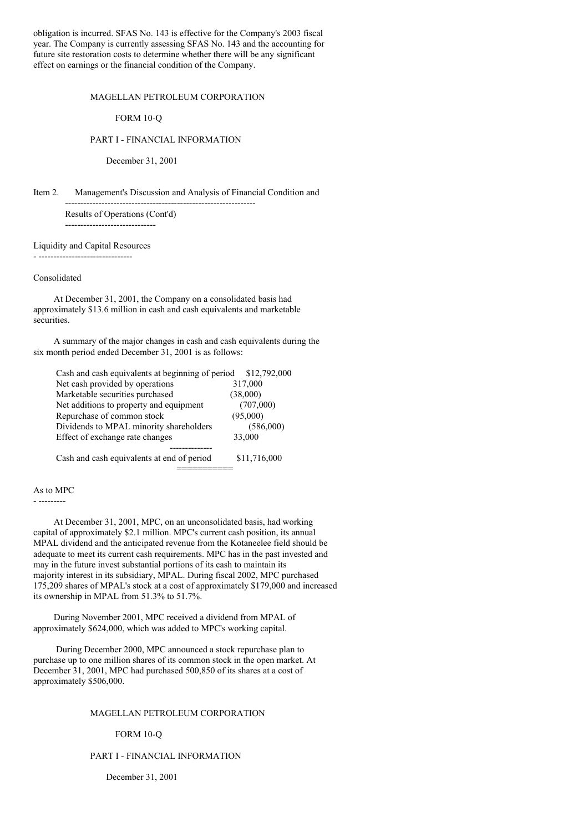obligation is incurred. SFAS No. 143 is effective for the Company's 2003 fiscal year. The Company is currently assessing SFAS No. 143 and the accounting for future site restoration costs to determine whether there will be any significant effect on earnings or the financial condition of the Company.

#### MAGELLAN PETROLEUM CORPORATION

#### FORM 10-Q

### PART I - FINANCIAL INFORMATION

---------------------------------------------------------------

December 31, 2001

Item 2. Management's Discussion and Analysis of Financial Condition and

Results of Operations (Cont'd) ------------------------------

Liquidity and Capital Resources - -------------------------------

#### Consolidated

At December 31, 2001, the Company on a consolidated basis had approximately \$13.6 million in cash and cash equivalents and marketable securities.

A summary of the major changes in cash and cash equivalents during the six month period ended December 31, 2001 is as follows:

| Cash and cash equivalents at beginning of period | \$12,792,000 |
|--------------------------------------------------|--------------|
| Net cash provided by operations                  | 317,000      |
| Marketable securities purchased                  | (38,000)     |
| Net additions to property and equipment          | (707,000)    |
| Repurchase of common stock                       | (95,000)     |
| Dividends to MPAL minority shareholders          | (586,000)    |
| Effect of exchange rate changes                  | 33,000       |
|                                                  |              |
| Cash and cash equivalents at end of period       | \$11,716,000 |
|                                                  |              |

## As to MPC

- ---------

At December 31, 2001, MPC, on an unconsolidated basis, had working capital of approximately \$2.1 million. MPC's current cash position, its annual MPAL dividend and the anticipated revenue from the Kotaneelee field should be adequate to meet its current cash requirements. MPC has in the past invested and may in the future invest substantial portions of its cash to maintain its majority interest in its subsidiary, MPAL. During fiscal 2002, MPC purchased 175,209 shares of MPAL's stock at a cost of approximately \$179,000 and increased its ownership in MPAL from 51.3% to 51.7%.

During November 2001, MPC received a dividend from MPAL of approximately \$624,000, which was added to MPC's working capital.

During December 2000, MPC announced a stock repurchase plan to purchase up to one million shares of its common stock in the open market. At December 31, 2001, MPC had purchased 500,850 of its shares at a cost of approximately \$506,000.

### MAGELLAN PETROLEUM CORPORATION

#### FORM 10-Q

### PART I - FINANCIAL INFORMATION

December 31, 2001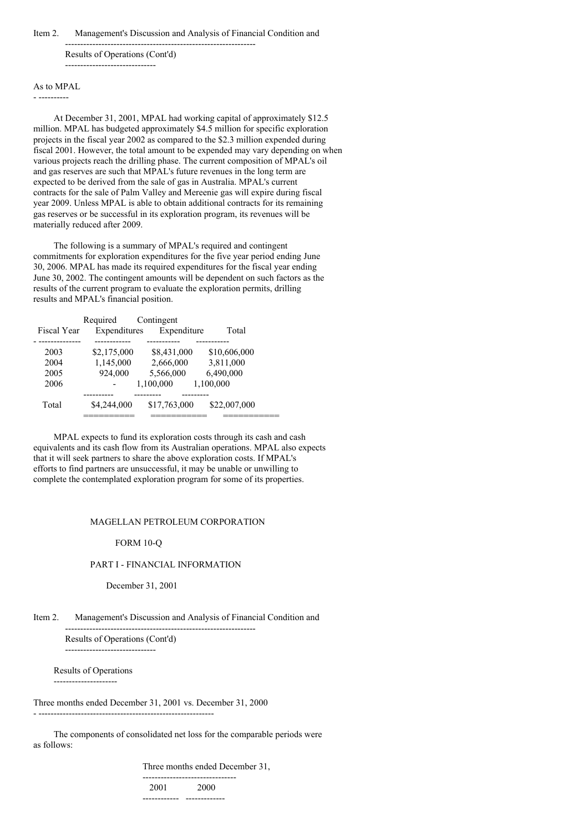### Item 2. Management's Discussion and Analysis of Financial Condition and

--------------------------------------------------------------- Results of Operations (Cont'd) ------------------------------

### As to MPAL

- ----------

At December 31, 2001, MPAL had working capital of approximately \$12.5 million. MPAL has budgeted approximately \$4.5 million for specific exploration projects in the fiscal year 2002 as compared to the \$2.3 million expended during fiscal 2001. However, the total amount to be expended may vary depending on when various projects reach the drilling phase. The current composition of MPAL's oil and gas reserves are such that MPAL's future revenues in the long term are expected to be derived from the sale of gas in Australia. MPAL's current contracts for the sale of Palm Valley and Mereenie gas will expire during fiscal year 2009. Unless MPAL is able to obtain additional contracts for its remaining gas reserves or be successful in its exploration program, its revenues will be materially reduced after 2009.

The following is a summary of MPAL's required and contingent commitments for exploration expenditures for the five year period ending June 30, 2006. MPAL has made its required expenditures for the fiscal year ending June 30, 2002. The contingent amounts will be dependent on such factors as the results of the current program to evaluate the exploration permits, drilling results and MPAL's financial position.

|                    | Required     | Contingent   |              |  |
|--------------------|--------------|--------------|--------------|--|
| <b>Fiscal Year</b> | Expenditures | Expenditure  | Total        |  |
|                    |              |              |              |  |
| 2003               | \$2,175,000  | \$8,431,000  | \$10,606,000 |  |
| 2004               | 1,145,000    | 2,666,000    | 3,811,000    |  |
| 2005               | 924.000      | 5.566.000    | 6,490,000    |  |
| 2006               |              | 1,100,000    | 1,100,000    |  |
|                    |              |              |              |  |
| Total              | \$4,244,000  | \$17,763,000 | \$22,007,000 |  |
|                    |              |              |              |  |

MPAL expects to fund its exploration costs through its cash and cash equivalents and its cash flow from its Australian operations. MPAL also expects that it will seek partners to share the above exploration costs. If MPAL's efforts to find partners are unsuccessful, it may be unable or unwilling to complete the contemplated exploration program for some of its properties.

### MAGELLAN PETROLEUM CORPORATION

#### FORM 10-Q

#### PART I - FINANCIAL INFORMATION

December 31, 2001

Item 2. Management's Discussion and Analysis of Financial Condition and

--------------------------------------------------------------- Results of Operations (Cont'd) ------------------------------

Results of Operations

---------------------

Three months ended December 31, 2001 vs. December 31, 2000 - ----------------------------------------------------------

The components of consolidated net loss for the comparable periods were as follows:

Three months ended December 31,

------------------------------- 2001 2000 ------------ -------------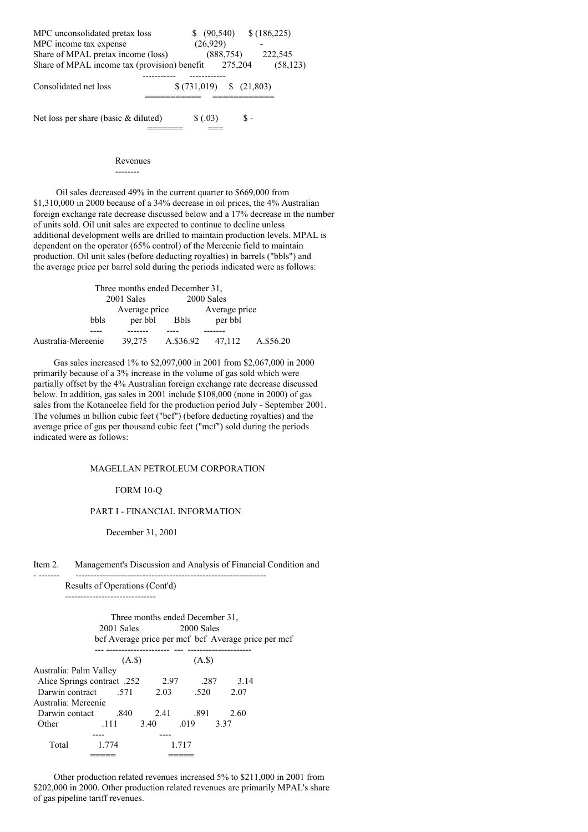| MPC unconsolidated pretax loss<br>MPC income tax expense<br>Share of MPAL pretax income (loss) | (90, 540)<br>(26,929)<br>(888, 754) | \$(186,225)          | 222,545   |
|------------------------------------------------------------------------------------------------|-------------------------------------|----------------------|-----------|
| Share of MPAL income tax (provision) benefit                                                   |                                     | 275,204              | (58, 123) |
| Consolidated net loss                                                                          | \$(731,019)                         | $\frac{(21,803)}{2}$ |           |
| Net loss per share (basic & diluted)                                                           | \$ (.03)                            |                      |           |

### Revenues

--------

Oil sales decreased 49% in the current quarter to \$669,000 from \$1,310,000 in 2000 because of a 34% decrease in oil prices, the 4% Australian foreign exchange rate decrease discussed below and a 17% decrease in the number of units sold. Oil unit sales are expected to continue to decline unless additional development wells are drilled to maintain production levels. MPAL is dependent on the operator (65% control) of the Mereenie field to maintain production. Oil unit sales (before deducting royalties) in barrels ("bbls") and the average price per barrel sold during the periods indicated were as follows:

| Three months ended December 31, |               |             |               |           |
|---------------------------------|---------------|-------------|---------------|-----------|
|                                 | 2001 Sales    |             | 2000 Sales    |           |
|                                 | Average price |             | Average price |           |
| bbls                            | per bbl       | <b>Bbls</b> | per bbl       |           |
|                                 |               |             |               |           |
| Australia-Mereenie              | 39.275        | A.\$36.92   | 47.112        | A.\$56.20 |

Gas sales increased 1% to \$2,097,000 in 2001 from \$2,067,000 in 2000 primarily because of a 3% increase in the volume of gas sold which were partially offset by the 4% Australian foreign exchange rate decrease discussed below. In addition, gas sales in 2001 include \$108,000 (none in 2000) of gas sales from the Kotaneelee field for the production period July - September 2001. The volumes in billion cubic feet ("bcf") (before deducting royalties) and the average price of gas per thousand cubic feet ("mcf") sold during the periods indicated were as follows:

### MAGELLAN PETROLEUM CORPORATION

### FORM 10-Q

### PART I - FINANCIAL INFORMATION

December 31, 2001

#### Item 2. Management's Discussion and Analysis of Financial Condition and

- ------- ---------------------------------------------------------------

Results of Operations (Cont'd) ------------------------------

> Three months ended December 31,<br>01 Sales 2000 Sales 2001 Sales bcf Average price per mcf bcf Average price per mcf

|                             |       | (A.S) |       | $(A.\$)$ |      |
|-----------------------------|-------|-------|-------|----------|------|
| Australia: Palm Valley      |       |       |       |          |      |
| Alice Springs contract. 252 |       |       | 2.97  | -287     | 3.14 |
| 571. Darwin contract        |       |       | 2.03  | -520     | 2.07 |
| Australia: Mereenie         |       |       |       |          |      |
| Darwin contact              | .840  |       | 2.41  | .891     | 2.60 |
| Other                       | .111  | 3.40  |       | .019     | 3.37 |
|                             |       |       |       |          |      |
| Total                       | 1.774 |       | 1.717 |          |      |
|                             |       |       |       |          |      |

Other production related revenues increased 5% to \$211,000 in 2001 from \$202,000 in 2000. Other production related revenues are primarily MPAL's share of gas pipeline tariff revenues.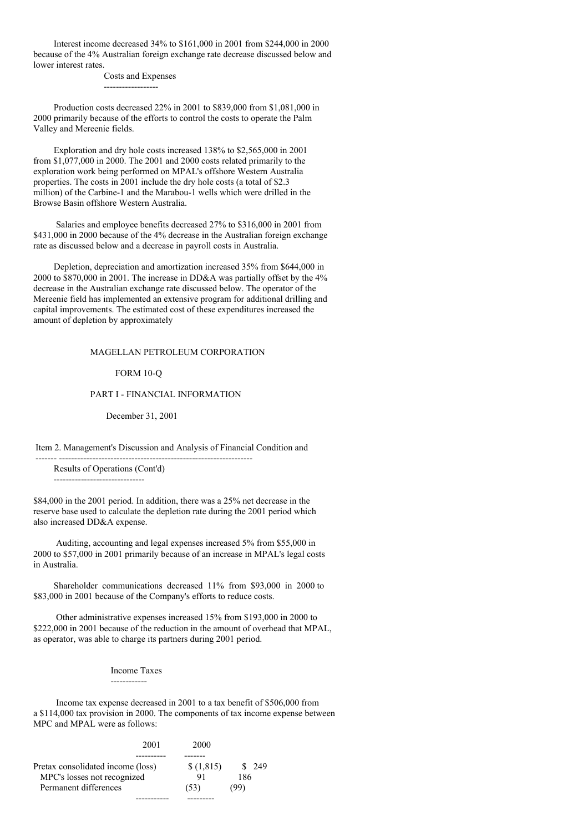Interest income decreased 34% to \$161,000 in 2001 from \$244,000 in 2000 because of the 4% Australian foreign exchange rate decrease discussed below and lower interest rates.

Costs and Expenses

------------------

Production costs decreased 22% in 2001 to \$839,000 from \$1,081,000 in 2000 primarily because of the efforts to control the costs to operate the Palm Valley and Mereenie fields.

Exploration and dry hole costs increased 138% to \$2,565,000 in 2001 from \$1,077,000 in 2000. The 2001 and 2000 costs related primarily to the exploration work being performed on MPAL's offshore Western Australia properties. The costs in 2001 include the dry hole costs (a total of \$2.3 million) of the Carbine-1 and the Marabou-1 wells which were drilled in the Browse Basin offshore Western Australia.

Salaries and employee benefits decreased 27% to \$316,000 in 2001 from \$431,000 in 2000 because of the 4% decrease in the Australian foreign exchange rate as discussed below and a decrease in payroll costs in Australia.

Depletion, depreciation and amortization increased 35% from \$644,000 in 2000 to \$870,000 in 2001. The increase in DD&A was partially offset by the 4% decrease in the Australian exchange rate discussed below. The operator of the Mereenie field has implemented an extensive program for additional drilling and capital improvements. The estimated cost of these expenditures increased the amount of depletion by approximately

## MAGELLAN PETROLEUM CORPORATION

FORM 10-Q

### PART I - FINANCIAL INFORMATION

December 31, 2001

Item 2. Management's Discussion and Analysis of Financial Condition and

------- ----------------------------------------------------------------

Results of Operations (Cont'd)

------------------------------

\$84,000 in the 2001 period. In addition, there was a 25% net decrease in the reserve base used to calculate the depletion rate during the 2001 period which also increased DD&A expense.

Auditing, accounting and legal expenses increased 5% from \$55,000 in 2000 to \$57,000 in 2001 primarily because of an increase in MPAL's legal costs in Australia.

Shareholder communications decreased 11% from \$93,000 in 2000 to \$83,000 in 2001 because of the Company's efforts to reduce costs.

Other administrative expenses increased 15% from \$193,000 in 2000 to \$222,000 in 2001 because of the reduction in the amount of overhead that MPAL, as operator, was able to charge its partners during 2001 period.

> Income Taxes  $-$

Income tax expense decreased in 2001 to a tax benefit of \$506,000 from a \$114,000 tax provision in 2000. The components of tax income expense between MPC and MPAL were as follows:

|                                   | 2001 | 2000      |       |
|-----------------------------------|------|-----------|-------|
|                                   |      |           |       |
| Pretax consolidated income (loss) |      | \$(1,815) | - 249 |
| MPC's losses not recognized       |      | 91        | 186   |
| Permanent differences             |      | (53)      | (99)  |
|                                   |      |           |       |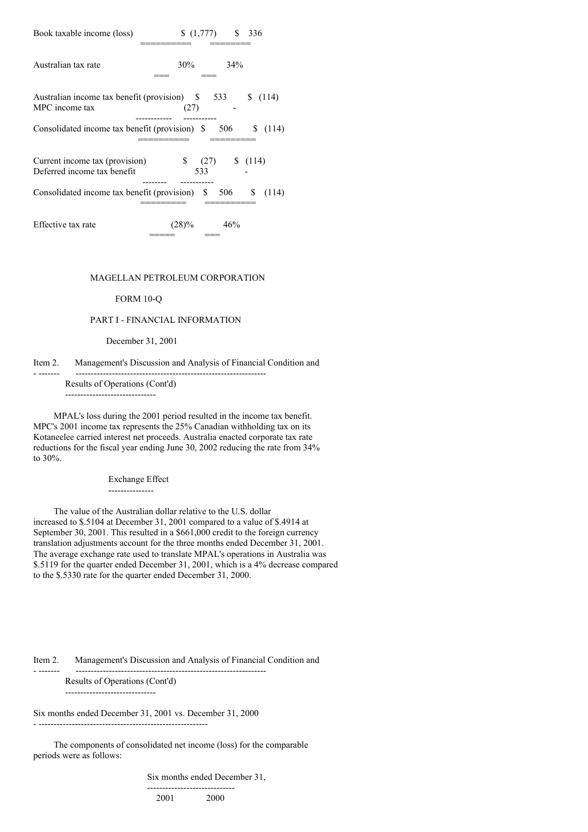| Book taxable income (loss)                                         | \$336<br>(1,777)                                                              |
|--------------------------------------------------------------------|-------------------------------------------------------------------------------|
| Australian tax rate                                                | $30\%$ $34\%$                                                                 |
| Australian income tax benefit (provision) \$ 533<br>MPC income tax | \$(114)<br>(27)                                                               |
|                                                                    | Consolidated income tax benefit (provision) $\frac{1}{2}$ 506 $\frac{114}{2}$ |
| Current income tax (provision)<br>Deferred income tax benefit      | $\frac{1}{2}$ (27) $\frac{114}{2}$<br>533                                     |
|                                                                    | Consolidated income tax benefit (provision) $\$ 506 \$<br>(114)               |
| Effective tax rate                                                 | $(28)\%$<br>46%                                                               |

### MAGELLAN PETROLEUM CORPORATION

### FORM 10-Q

### PART I - FINANCIAL INFORMATION

### December 31, 2001

#### Item 2. Management's Discussion and Analysis of Financial Condition and - ------- ---------------------------------------------------------------

Results of Operations (Cont'd) ------------------------------

MPAL's loss during the 2001 period resulted in the income tax benefit. MPC's 2001 income tax represents the 25% Canadian withholding tax on its Kotaneelee carried interest net proceeds. Australia enacted corporate tax rate

reductions for the fiscal year ending June 30, 2002 reducing the rate from 34% to 30%.

Exchange Effect

---------------

The value of the Australian dollar relative to the U.S. dollar increased to \$.5104 at December 31, 2001 compared to a value of \$.4914 at September 30, 2001. This resulted in a \$661,000 credit to the foreign currency translation adjustments account for the three months ended December 31, 2001. The average exchange rate used to translate MPAL's operations in Australia was \$.5119 for the quarter ended December 31, 2001, which is a 4% decrease compared to the \$.5330 rate for the quarter ended December 31, 2000.

Item 2. Management's Discussion and Analysis of Financial Condition and

Results of Operations (Cont'd)

- --------------------------------------------------------

------------------------------

Six months ended December 31, 2001 vs. December 31, 2000

 $-$ 

The components of consolidated net income (loss) for the comparable periods were as follows:

Six months ended December 31,

----------------------------- 2001 2000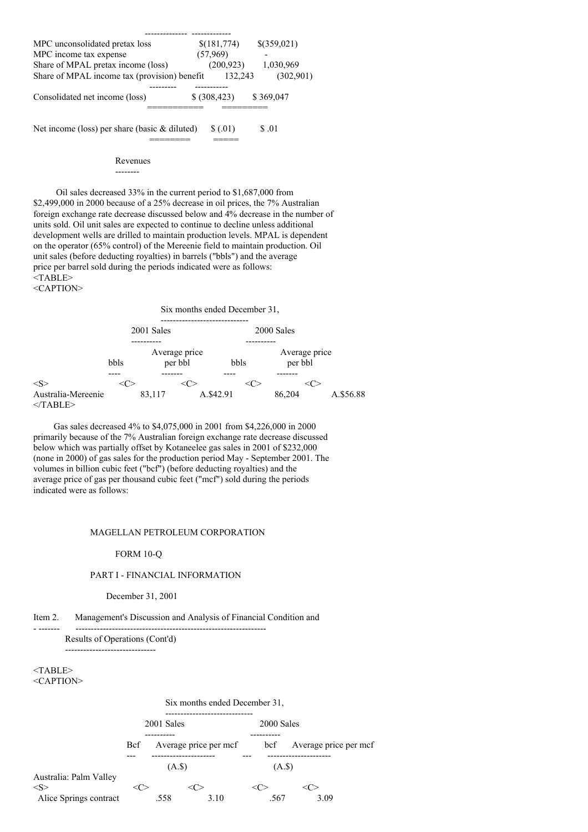| MPC unconsolidated pretax loss                  | \$(181,774)   | \$(359,021) |
|-------------------------------------------------|---------------|-------------|
| MPC income tax expense                          | (57,969)      |             |
| Share of MPAL pretax income (loss)              | (200, 923)    | 1,030,969   |
| Share of MPAL income tax (provision) benefit    | 132.243       | (302,901)   |
|                                                 |               |             |
| Consolidated net income (loss)                  | \$ (308, 423) | \$369,047   |
|                                                 |               |             |
| Net income (loss) per share (basic $&$ diluted) | \$ (.01)      | \$.01       |
|                                                 |               |             |

Revenues

#### --------

Oil sales decreased 33% in the current period to \$1,687,000 from \$2,499,000 in 2000 because of a 25% decrease in oil prices, the 7% Australian foreign exchange rate decrease discussed below and 4% decrease in the number of units sold. Oil unit sales are expected to continue to decline unless additional development wells are drilled to maintain production levels. MPAL is dependent on the operator (65% control) of the Mereenie field to maintain production. Oil unit sales (before deducting royalties) in barrels ("bbls") and the average price per barrel sold during the periods indicated were as follows: <TABLE> <CAPTION>



Gas sales decreased 4% to \$4,075,000 in 2001 from \$4,226,000 in 2000 primarily because of the 7% Australian foreign exchange rate decrease discussed below which was partially offset by Kotaneelee gas sales in 2001 of \$232,000 (none in 2000) of gas sales for the production period May - September 2001. The volumes in billion cubic feet ("bcf") (before deducting royalties) and the average price of gas per thousand cubic feet ("mcf") sold during the periods indicated were as follows:

#### MAGELLAN PETROLEUM CORPORATION

#### FORM 10-Q

#### PART I - FINANCIAL INFORMATION

#### December 31, 2001

Item 2. Management's Discussion and Analysis of Financial Condition and

- ------- ---------------------------------------------------------------

Results of Operations (Cont'd)

------------------------------

<TABLE> <CAPTION>

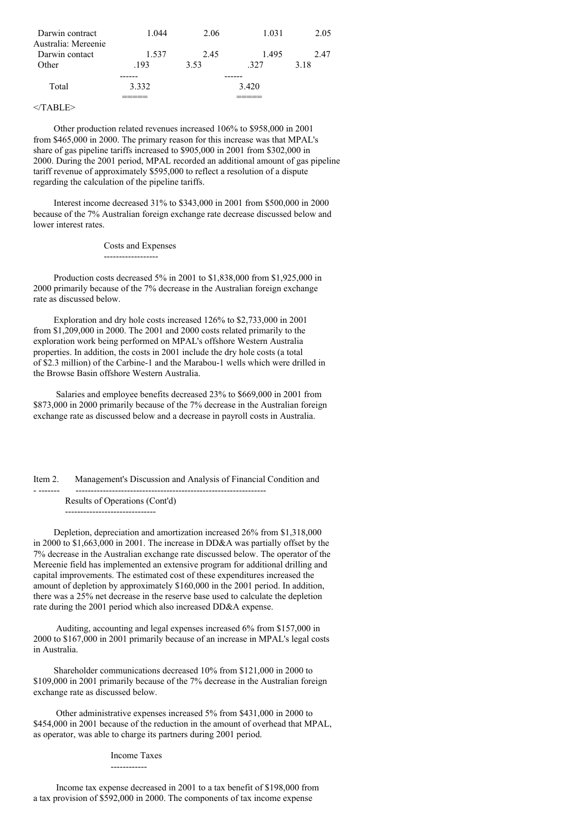| Darwin contract                       | 1.044 | 2.06 | 1.031 | 2.05 |
|---------------------------------------|-------|------|-------|------|
| Australia: Mereenie<br>Darwin contact | 1.537 | 2.45 | 1.495 | 2.47 |
| Other                                 | .193  | 3.53 | 327   | 3.18 |
| Total                                 | 3.332 |      | 3.420 |      |
|                                       |       |      |       |      |

### $<$ /TABLE>

Other production related revenues increased 106% to \$958,000 in 2001 from \$465,000 in 2000. The primary reason for this increase was that MPAL's share of gas pipeline tariffs increased to \$905,000 in 2001 from \$302,000 in 2000. During the 2001 period, MPAL recorded an additional amount of gas pipeline tariff revenue of approximately \$595,000 to reflect a resolution of a dispute regarding the calculation of the pipeline tariffs.

Interest income decreased 31% to \$343,000 in 2001 from \$500,000 in 2000 because of the 7% Australian foreign exchange rate decrease discussed below and lower interest rates.

Costs and Expenses

------------------

Production costs decreased 5% in 2001 to \$1,838,000 from \$1,925,000 in 2000 primarily because of the 7% decrease in the Australian foreign exchange rate as discussed below.

Exploration and dry hole costs increased 126% to \$2,733,000 in 2001 from \$1,209,000 in 2000. The 2001 and 2000 costs related primarily to the exploration work being performed on MPAL's offshore Western Australia properties. In addition, the costs in 2001 include the dry hole costs (a total of \$2.3 million) of the Carbine-1 and the Marabou-1 wells which were drilled in the Browse Basin offshore Western Australia.

Salaries and employee benefits decreased 23% to \$669,000 in 2001 from \$873,000 in 2000 primarily because of the 7% decrease in the Australian foreign exchange rate as discussed below and a decrease in payroll costs in Australia.

Item 2. Management's Discussion and Analysis of Financial Condition and - ------- ---------------------------------------------------------------

Results of Operations (Cont'd) ------------------------------

Depletion, depreciation and amortization increased 26% from \$1,318,000 in 2000 to \$1,663,000 in 2001. The increase in DD&A was partially offset by the 7% decrease in the Australian exchange rate discussed below. The operator of the Mereenie field has implemented an extensive program for additional drilling and capital improvements. The estimated cost of these expenditures increased the amount of depletion by approximately \$160,000 in the 2001 period. In addition, there was a 25% net decrease in the reserve base used to calculate the depletion rate during the 2001 period which also increased DD&A expense.

Auditing, accounting and legal expenses increased 6% from \$157,000 in 2000 to \$167,000 in 2001 primarily because of an increase in MPAL's legal costs in Australia.

Shareholder communications decreased 10% from \$121,000 in 2000 to \$109,000 in 2001 primarily because of the 7% decrease in the Australian foreign exchange rate as discussed below.

Other administrative expenses increased 5% from \$431,000 in 2000 to \$454,000 in 2001 because of the reduction in the amount of overhead that MPAL, as operator, was able to charge its partners during 2001 period.

#### Income Taxes

------------

Income tax expense decreased in 2001 to a tax benefit of \$198,000 from a tax provision of \$592,000 in 2000. The components of tax income expense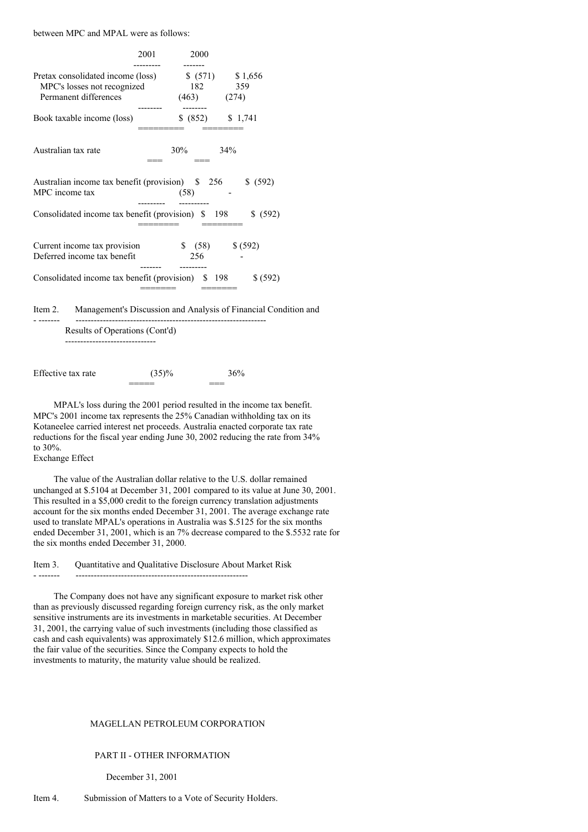between MPC and MPAL were as follows:

|                                                                                           | 2001 | 2000                       |                          |
|-------------------------------------------------------------------------------------------|------|----------------------------|--------------------------|
| Pretax consolidated income (loss)<br>MPC's losses not recognized<br>Permanent differences |      | 182 359<br>$(463)$ $(274)$ | $$ (571) \qquad $1,656$  |
| Book taxable income (loss)                                                                |      |                            | $$ (852) \qquad $ 1,741$ |
| Australian tax rate                                                                       |      | $30\%$                     | 34%                      |
| Australian income tax benefit (provision) \$256<br>MPC income tax                         |      | (58)                       | \$ (592)                 |
| Consolidated income tax benefit (provision) \$ 198                                        |      |                            | \$ (592)                 |
| Current income tax provision<br>Deferred income tax benefit                               |      | 256                        | $$ (58)$ $$ (592)$       |
| Consolidated income tax benefit (provision) \$198                                         |      |                            | \$ (592)                 |
| $\mu_{\text{max}}$ 2 Mensens with Discussion and Analysis of Einensial Can                |      |                            |                          |

Item 2. Management's Discussion and Analysis of Financial Condition and

Results of Operations (Cont'd) ------------------------------

- ------- ---------------------------------------------------------------

Effective tax rate  $(35)%$  36% ===== ===

MPAL's loss during the 2001 period resulted in the income tax benefit. MPC's 2001 income tax represents the 25% Canadian withholding tax on its Kotaneelee carried interest net proceeds. Australia enacted corporate tax rate reductions for the fiscal year ending June 30, 2002 reducing the rate from 34% to 30%.

# Exchange Effect

The value of the Australian dollar relative to the U.S. dollar remained unchanged at \$.5104 at December 31, 2001 compared to its value at June 30, 2001. This resulted in a \$5,000 credit to the foreign currency translation adjustments account for the six months ended December 31, 2001. The average exchange rate used to translate MPAL's operations in Australia was \$.5125 for the six months ended December 31, 2001, which is an 7% decrease compared to the \$.5532 rate for the six months ended December 31, 2000.

Item 3. Quantitative and Qualitative Disclosure About Market Risk

- ------- ---------------------------------------------------------

The Company does not have any significant exposure to market risk other than as previously discussed regarding foreign currency risk, as the only market sensitive instruments are its investments in marketable securities. At December 31, 2001, the carrying value of such investments (including those classified as cash and cash equivalents) was approximately \$12.6 million, which approximates the fair value of the securities. Since the Company expects to hold the investments to maturity, the maturity value should be realized.

### MAGELLAN PETROLEUM CORPORATION

### PART II - OTHER INFORMATION

December 31, 2001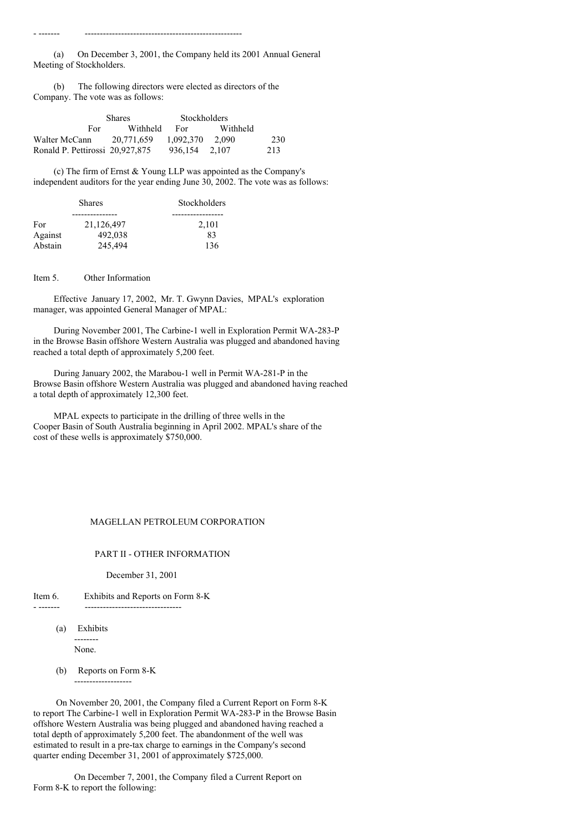(a) On December 3, 2001, the Company held its 2001 Annual General Meeting of Stockholders.

(b) The following directors were elected as directors of the Company. The vote was as follows:

- ------- ----------------------------------------------------

|                                 | <b>Shares</b> | <b>Stockholders</b> |          |     |
|---------------------------------|---------------|---------------------|----------|-----|
| For.                            | Withheld      | For                 | Withheld |     |
| Walter McCann                   | 20.771.659    | 1.092.370           | 2.090    | 230 |
| Ronald P. Pettirossi 20.927.875 |               | 936.154             | 2.107    | 213 |

(c) The firm of Ernst & Young LLP was appointed as the Company's independent auditors for the year ending June 30, 2002. The vote was as follows:

|         | <b>Shares</b> | Stockholders |
|---------|---------------|--------------|
|         |               |              |
| For     | 21.126.497    | 2,101        |
| Against | 492,038       | 83           |
| Abstain | 245,494       | 136          |

Item 5. Other Information

Effective January 17, 2002, Mr. T. Gwynn Davies, MPAL's exploration manager, was appointed General Manager of MPAL:

During November 2001, The Carbine-1 well in Exploration Permit WA-283-P in the Browse Basin offshore Western Australia was plugged and abandoned having reached a total depth of approximately 5,200 feet.

During January 2002, the Marabou-1 well in Permit WA-281-P in the Browse Basin offshore Western Australia was plugged and abandoned having reached a total depth of approximately 12,300 feet.

MPAL expects to participate in the drilling of three wells in the Cooper Basin of South Australia beginning in April 2002. MPAL's share of the cost of these wells is approximately \$750,000.

### MAGELLAN PETROLEUM CORPORATION

#### PART II - OTHER INFORMATION

December 31, 2001

#### Item 6. Exhibits and Reports on Form 8-K

- ------- --------------------------------

(a) Exhibits -------- None.

(b) Reports on Form 8-K

-------------------

On November 20, 2001, the Company filed a Current Report on Form 8-K to report The Carbine-1 well in Exploration Permit WA-283-P in the Browse Basin offshore Western Australia was being plugged and abandoned having reached a total depth of approximately 5,200 feet. The abandonment of the well was estimated to result in a pre-tax charge to earnings in the Company's second quarter ending December 31, 2001 of approximately \$725,000.

On December 7, 2001, the Company filed a Current Report on Form 8-K to report the following: